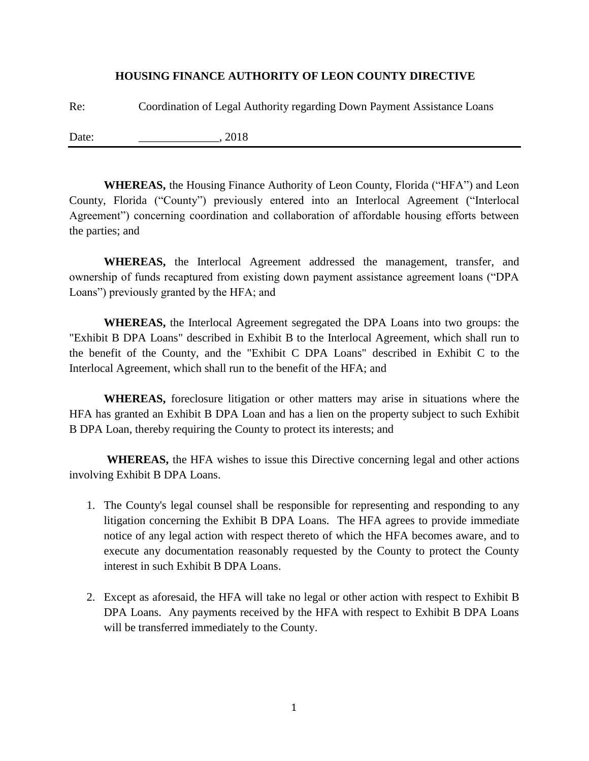## **HOUSING FINANCE AUTHORITY OF LEON COUNTY DIRECTIVE**

Re: Coordination of Legal Authority regarding Down Payment Assistance Loans

Date: 2018

**WHEREAS,** the Housing Finance Authority of Leon County, Florida ("HFA") and Leon County, Florida ("County") previously entered into an Interlocal Agreement ("Interlocal Agreement") concerning coordination and collaboration of affordable housing efforts between the parties; and

**WHEREAS,** the Interlocal Agreement addressed the management, transfer, and ownership of funds recaptured from existing down payment assistance agreement loans ("DPA Loans") previously granted by the HFA; and

**WHEREAS,** the Interlocal Agreement segregated the DPA Loans into two groups: the "Exhibit B DPA Loans" described in Exhibit B to the Interlocal Agreement, which shall run to the benefit of the County, and the "Exhibit C DPA Loans" described in Exhibit C to the Interlocal Agreement, which shall run to the benefit of the HFA; and

**WHEREAS,** foreclosure litigation or other matters may arise in situations where the HFA has granted an Exhibit B DPA Loan and has a lien on the property subject to such Exhibit B DPA Loan, thereby requiring the County to protect its interests; and

**WHEREAS,** the HFA wishes to issue this Directive concerning legal and other actions involving Exhibit B DPA Loans.

- 1. The County's legal counsel shall be responsible for representing and responding to any litigation concerning the Exhibit B DPA Loans. The HFA agrees to provide immediate notice of any legal action with respect thereto of which the HFA becomes aware, and to execute any documentation reasonably requested by the County to protect the County interest in such Exhibit B DPA Loans.
- 2. Except as aforesaid, the HFA will take no legal or other action with respect to Exhibit B DPA Loans. Any payments received by the HFA with respect to Exhibit B DPA Loans will be transferred immediately to the County.